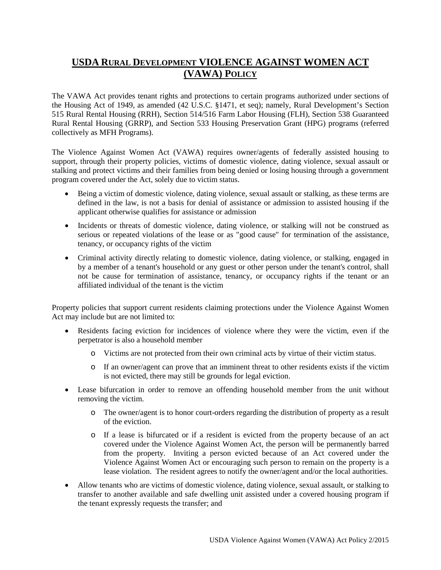## **USDA RURAL DEVELOPMENT VIOLENCE AGAINST WOMEN ACT (VAWA) POLICY**

The VAWA Act provides tenant rights and protections to certain programs authorized under sections of the Housing Act of 1949, as amended (42 U.S.C. §1471, et seq); namely, Rural Development's Section 515 Rural Rental Housing (RRH), Section 514/516 Farm Labor Housing (FLH), Section 538 Guaranteed Rural Rental Housing (GRRP), and Section 533 Housing Preservation Grant (HPG) programs (referred collectively as MFH Programs).

The Violence Against Women Act (VAWA) requires owner/agents of federally assisted housing to support, through their property policies, victims of domestic violence, dating violence, sexual assault or stalking and protect victims and their families from being denied or losing housing through a government program covered under the Act, solely due to victim status.

- Being a victim of domestic violence, dating violence, sexual assault or stalking, as these terms are defined in the law, is not a basis for denial of assistance or admission to assisted housing if the applicant otherwise qualifies for assistance or admission
- Incidents or threats of domestic violence, dating violence, or stalking will not be construed as serious or repeated violations of the lease or as "good cause" for termination of the assistance, tenancy, or occupancy rights of the victim
- Criminal activity directly relating to domestic violence, dating violence, or stalking, engaged in by a member of a tenant's household or any guest or other person under the tenant's control, shall not be cause for termination of assistance, tenancy, or occupancy rights if the tenant or an affiliated individual of the tenant is the victim

Property policies that support current residents claiming protections under the Violence Against Women Act may include but are not limited to:

- Residents facing eviction for incidences of violence where they were the victim, even if the perpetrator is also a household member
	- o Victims are not protected from their own criminal acts by virtue of their victim status.
	- o If an owner/agent can prove that an imminent threat to other residents exists if the victim is not evicted, there may still be grounds for legal eviction.
- Lease bifurcation in order to remove an offending household member from the unit without removing the victim.
	- o The owner/agent is to honor court-orders regarding the distribution of property as a result of the eviction.
	- o If a lease is bifurcated or if a resident is evicted from the property because of an act covered under the Violence Against Women Act, the person will be permanently barred from the property. Inviting a person evicted because of an Act covered under the Violence Against Women Act or encouraging such person to remain on the property is a lease violation. The resident agrees to notify the owner/agent and/or the local authorities.
- Allow tenants who are victims of domestic violence, dating violence, sexual assault, or stalking to transfer to another available and safe dwelling unit assisted under a covered housing program if the tenant expressly requests the transfer; and